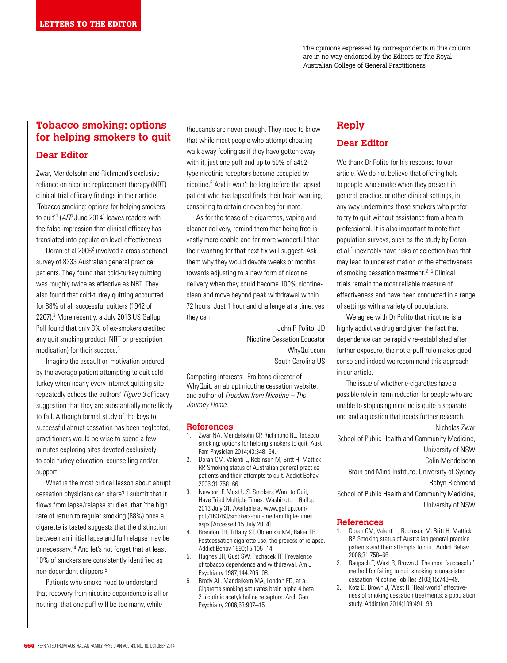The opinions expressed by correspondents in this column are in no way endorsed by the Editors or The Royal Australian College of General Practitioners.

# **Tobacco smoking: options for helping smokers to quit**

### **Dear Editor**

Zwar, Mendelsohn and Richmond's exclusive reliance on nicotine replacement therapy (NRT) clinical trial efficacy findings in their article 'Tobacco smoking: options for helping smokers to quit'<sup>1</sup> (AFP June 2014) leaves readers with the false impression that clinical efficacy has translated into population level effectiveness.

Doran et al 2006<sup>2</sup> involved a cross-sectional survey of 8333 Australian general practice patients. They found that cold-turkey quitting was roughly twice as effective as NRT. They also found that cold-turkey quitting accounted for 88% of all successful quitters (1942 of 2207).<sup>2</sup> More recently, a July 2013 US Gallup Poll found that only 8% of ex-smokers credited any quit smoking product (NRT or prescription medication) for their success.3

Imagine the assault on motivation endured by the average patient attempting to quit cold turkey when nearly every internet quitting site repeatedly echoes the authors' Figure 3 efficacy suggestion that they are substantially more likely to fail. Although formal study of the keys to successful abrupt cessation has been neglected, practitioners would be wise to spend a few minutes exploring sites devoted exclusively to cold-turkey education, counselling and/or support.

What is the most critical lesson about abrupt cessation physicians can share? I submit that it flows from lapse/relapse studies, that 'the high rate of return to regular smoking (88%) once a cigarette is tasted suggests that the distinction between an initial lapse and full relapse may be unnecessary.'4 And let's not forget that at least 10% of smokers are consistently identified as non-dependent chippers.5

Patients who smoke need to understand that recovery from nicotine dependence is all or nothing, that one puff will be too many, while

thousands are never enough. They need to know that while most people who attempt cheating walk away feeling as if they have gotten away with it, just one puff and up to 50% of a4b2 type nicotinic receptors become occupied by nicotine.6 And it won't be long before the lapsed patient who has lapsed finds their brain wanting, conspiring to obtain or even beg for more.

As for the tease of e-cigarettes, vaping and cleaner delivery, remind them that being free is vastly more doable and far more wonderful than their wanting for that next fix will suggest. Ask them why they would devote weeks or months towards adjusting to a new form of nicotine delivery when they could become 100% nicotineclean and move beyond peak withdrawal within 72 hours. Just 1 hour and challenge at a time, yes they can!

> John R Polito, JD Nicotine Cessation Educator WhyQuit.com South Carolina US

Competing interests: Pro bono director of WhyQuit, an abrupt nicotine cessation website, and author of Freedom from Nicotine – The Journey Home.

#### **References**

- 1. Zwar NA, Mendelsohn CP, Richmond RL. Tobacco smoking: options for helping smokers to quit. Aust Fam Physician 2014;43:348–54.
- 2. Doran CM, Valenti L, Robinson M, Britt H, Mattick RP. Smoking status of Australian general practice patients and their attempts to quit. Addict Behav 2006;31:758–66.
- 3. Newport F. Most U.S. Smokers Want to Quit, Have Tried Multiple Times. Washington: Gallup, 2013 July 31. Available at www.gallup.com/ poll/163763/smokers-quit-tried-multiple-times. aspx [Accessed 15 July 2014].
- 4. Brandon TH, Tiffany ST, Obremski KM, Baker TB. Postcessation cigarette use: the process of relapse. Addict Behav 1990;15:105–14.
- 5. Hughes JR, Gust SW, Pechacek TF. Prevalence of tobacco dependence and withdrawal. Am J Psychiatry 1987;144:205–08.
- 6. Brody AL, Mandelkern MA, London ED, at al. Cigarette smoking saturates brain alpha 4 beta 2 nicotinic acetylcholine receptors. Arch Gen Psychiatry 2006;63:907–15.

# **Reply Dear Editor**

We thank Dr Polito for his response to our article. We do not believe that offering help to people who smoke when they present in general practice, or other clinical settings, in any way undermines those smokers who prefer to try to quit without assistance from a health professional. It is also important to note that population surveys, such as the study by Doran et al,<sup>1</sup> inevitably have risks of selection bias that may lead to underestimation of the effectiveness of smoking cessation treatment.<sup>2–5</sup> Clinical trials remain the most reliable measure of effectiveness and have been conducted in a range of settings with a variety of populations.

We agree with Dr Polito that nicotine is a highly addictive drug and given the fact that dependence can be rapidly re-established after further exposure, the not-a-puff rule makes good sense and indeed we recommend this approach in our article.

The issue of whether e-cigarettes have a possible role in harm reduction for people who are unable to stop using nicotine is quite a separate one and a question that needs further research.

Nicholas Zwar

School of Public Health and Community Medicine, University of NSW

Colin Mendelsohn

Brain and Mind Institute, University of Sydney Robyn Richmond

School of Public Health and Community Medicine, University of NSW

#### **References**

- 1. Doran CM, Valenti L, Robinson M, Britt H, Mattick RP. Smoking status of Australian general practice patients and their attempts to quit. Addict Behav 2006;31:758–66.
- 2. Raupach T, West R, Brown J. The most 'successful' method for failing to quit smoking is unassisted cessation. Nicotine Tob Res 2103;15:748–49.
- 3. Kotz D, Brown J, West R. 'Real-world' effectiveness of smoking cessation treatments: a population study. Addiction 2014;109:491–99.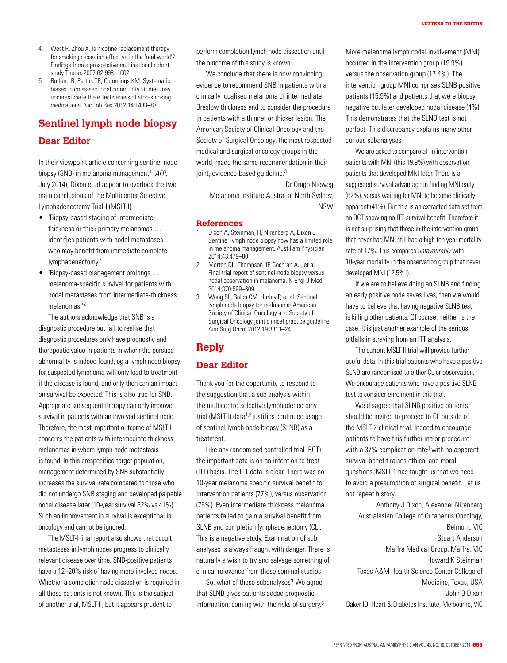- 4. West R, Zhou X. Is nicotine replacement therapy for smoking cessation effective in the 'real world'? Findings from a prospective multinational cohort study Thorax 2007;62:998–1002.
- 5. Borland R, Partos TR, Cummings KM. Systematic biases in cross-sectional community studies may underestimate the effectiveness of stop-smoking medications. Nic Tob Res 2012;14:1483–87.

# **Sentinel lymph node biopsy Dear Editor**

In their viewpoint article concerning sentinel node biopsy (SNB) in melanoma management<sup>1</sup> (AFP, July 2014), Dixon et al appear to overlook the two main conclusions of the Multicenter Selective Lymphadenectomy Trial-I (MSLT-I):

- 'Biopsy-based staging of intermediatethickness or thick primary melanomas … identifies patients with nodal metastases who may benefit from immediate complete lymphadenectomy.'
- 'Biopsy-based management prolongs … melanoma-specific survival for patients with nodal metastases from intermediate-thickness melanomas.'2

The authors acknowledge that SNB is a diagnostic procedure but fail to realise that diagnostic procedures only have prognostic and therapeutic value in patients in whom the pursued abnormality is indeed found, eg a lymph node biopsy for suspected lymphoma will only lead to treatment if the disease is found, and only then can an impact on survival be expected. This is also true for SNB. Appropriate subsequent therapy can only improve survival in patients with an involved sentinel node. Therefore, the most important outcome of MSLT-I concerns the patients with intermediate thickness melanomas in whom lymph node metastasis is found. In this prespecified target population, management determined by SNB substantially increases the survival rate compared to those who did not undergo SNB staging and developed palpable nodal disease later (10-year survival 62% vs 41%). Such an improvement in survival is exceptional in oncology and cannot be ignored.

The MSLT-I final report also shows that occult metastases in lymph nodes progress to clinically relevant disease over time. SNB-positive patients have a 12–20% risk of having more involved nodes. Whether a completion node dissection is required in all these patients is not known. This is the subject of another trial, MSLT-II, but it appears prudent to

perform completion lymph node dissection until the outcome of this study is known.

We conclude that there is now convincing evidence to recommend SNB in patients with a clinically localised melanoma of intermediate Breslow thickness and to consider the procedure in patients with a thinner or thicker lesion. The American Society of Clinical Oncology and the Society of Surgical Oncology, the most respected medical and surgical oncology groups in the world, made the same recommendation in their joint, evidence-based quideline.<sup>3</sup>

Dr Omgo Nieweg Melanoma Institute Australia, North Sydney, NSW

#### **References**

- 1. Dixon A, Steinman, H, Nirenberg A, Dixon J. Sentinel lymph node biopsy now has a limited role in melanoma management. Aust Fam Physician 2014;43:479–80.
- 2. Morton DL, Thompson JF, Cochran AJ, et al. Final trial report of sentinel-node biopsy versus nodal observation in melanoma. N Engl J Med 2014;370:599–609.
- 3. Wong SL, Balch CM, Hurley P, et al. Sentinel lymph node biopsy for melanoma: American Society of Clinical Oncology and Society of Surgical Oncology joint clinical practice guideline. Ann Surg Oncol 2012;19:3313–24.

# **Reply**

### **Dear Editor**

Thank you for the opportunity to respond to the suggestion that a sub analysis within the multicentre selective lymphadenectomy trial (MSLT-I) data $1,2$  justifies continued usage of sentinel lymph node biopsy (SLNB) as a treatment.

Like any randomised controlled trial (RCT) the important data is on an intention to treat (ITT) basis. The ITT data is clear. There was no 10-year melanoma specific survival benefit for intervention patients (77%), versus observation (76%). Even intermediate thickness melanoma patients failed to gain a survival benefit from SLNB and completion lymphadenectomy (CL). This is a negative study. Examination of sub analyses is always fraught with danger. There is naturally a wish to try and salvage something of clinical relevance from these seminal studies.

So, what of these subanalyses? We agree that SLNB gives patients added prognostic information; coming with the risks of surgery.3 More melanoma lymph nodal involvement (MNI) occurred in the intervention group (19.9%), versus the observation group (17.4%). The intervention group MNI comprises SLNB positive patients (15.9%) and patients that were biopsy negative but later developed nodal disease (4%). This demonstrates that the SLNB test is not perfect. This discrepancy explains many other curious subanalyses

We are asked to compare all in intervention patients with MNI (this 19.9%) with observation patients that developed MNI later. There is a suggested survival advantage in finding MNI early (62%), versus waiting for MNI to become clinically apparent (41%). But this is an extracted data set from an RCT showing no ITT survival benefit. Therefore it is not surprising that those in the intervention group that never had MNI still had a high ten year mortality rate of 17%. This compares unfavourably with 10-year mortality in the observation group that never developed MNI (12.5%!).

If we are to believe doing an SLNB and finding an early positive node saves lives, then we would have to believe that having negative SLNB test is killing other patients. Of course, neither is the case. It is just another example of the serious pitfalls in straying from an ITT analysis.

The current MSLT-II trial will provide further useful data. In this trial patients who have a positive SLNB are randomised to either CL or observation. We encourage patients who have a positive SLNB test to consider enrolment in this trial.

We disagree that SLNB positive patients should be invited to proceed to CL outside of the MSLT 2 clinical trial. Indeed to encourage patients to have this further major procedure with a 37% complication rate<sup>3</sup> with no apparent survival benefit raises ethical and moral questions. MSLT-1 has taught us that we need to avoid a presumption of surgical benefit. Let us not repeat history.

Anthony J Dixon, Alexander Nirenberg Australasian College of Cutaneous Oncology, Belmont, VIC Stuart Anderson Maffra Medical Group, Maffra, VIC Howard K Steinman Texas A&M Health Science Center College of Medicine, Texas, USA John B Dixon Baker IDI Heart & Diabetes Institute, Melbourne, VIC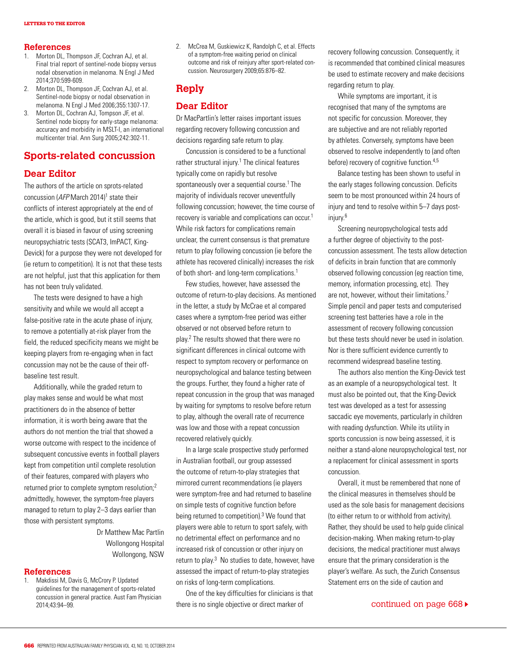#### **References**

- 1. Morton DL, Thompson JF, Cochran AJ, et al. Final trial report of sentinel-node biopsy versus nodal observation in melanoma. N Engl J Med 2014;370:599-609.
- 2. Morton DL, Thompson JF, Cochran AJ, et al. Sentinel-node biopsy or nodal observation in melanoma. N Engl J Med 2006;355:1307-17.
- 3. Morton DL, Cochran AJ, Tompson JF, et al. Sentinel node biopsy for early-stage melanoma: accuracy and morbidity in MSLT-I, an international multicenter trial. Ann Surg 2005;242:302-11.

# **Sports-related concussion**

### **Dear Editor**

The authors of the article on sprots-related concussion (AFP March 2014)<sup>1</sup> state their conflicts of interest appropriately at the end of the article, which is good, but it still seems that overall it is biased in favour of using screening neuropsychiatric tests (SCAT3, ImPACT, King-Devick) for a purpose they were not developed for (ie return to competition). It is not that these tests are not helpful, just that this application for them has not been truly validated.

The tests were designed to have a high sensitivity and while we would all accept a false-positive rate in the acute phase of injury, to remove a potentially at-risk player from the field, the reduced specificity means we might be keeping players from re-engaging when in fact concussion may not be the cause of their offbaseline test result.

Additionally, while the graded return to play makes sense and would be what most practitioners do in the absence of better information, it is worth being aware that the authors do not mention the trial that showed a worse outcome with respect to the incidence of subsequent concussive events in football players kept from competition until complete resolution of their features, compared with players who returned prior to complete symptom resolution;2 admittedly, however, the symptom-free players managed to return to play 2–3 days earlier than those with persistent symptoms.

> Dr Matthew Mac Partlin Wollongong Hospital Wollongong, NSW

#### **References**

1. Makdissi M, Davis G, McCrory P. Updated guidelines for the management of sports-related concussion in general practice. Aust Fam Physician 2014;43:94–99.

2. McCrea M, Guskiewicz K, Randolph C, et al. Effects of a symptom-free waiting period on clinical outcome and risk of reinjury after sport-related concussion. Neurosurgery 2009;65:876–82.

# **Reply**

### **Dear Editor**

Dr MacPartlin's letter raises important issues regarding recovery following concussion and decisions regarding safe return to play.

Concussion is considered to be a functional rather structural injury.<sup>1</sup> The clinical features typically come on rapidly but resolve spontaneously over a sequential course.<sup>1</sup> The majority of individuals recover uneventfully following concussion; however, the time course of recovery is variable and complications can occur.1 While risk factors for complications remain unclear, the current consensus is that premature return to play following concussion (ie before the athlete has recovered clinically) increases the risk of both short- and long-term complications.<sup>1</sup>

Few studies, however, have assessed the outcome of return-to-play decisions. As mentioned in the letter, a study by McCrae et al compared cases where a symptom-free period was either observed or not observed before return to play.2 The results showed that there were no significant differences in clinical outcome with respect to symptom recovery or performance on neuropsychological and balance testing between the groups. Further, they found a higher rate of repeat concussion in the group that was managed by waiting for symptoms to resolve before return to play, although the overall rate of recurrence was low and those with a repeat concussion recovered relatively quickly.

In a large scale prospective study performed in Australian football, our group assessed the outcome of return-to-play strategies that mirrored current recommendations (ie players were symptom-free and had returned to baseline on simple tests of cognitive function before being returned to competition).<sup>3</sup> We found that players were able to return to sport safely, with no detrimental effect on performance and no increased risk of concussion or other injury on return to play. $3$  No studies to date, however, have assessed the impact of return-to-play strategies on risks of long-term complications.

One of the key difficulties for clinicians is that there is no single objective or direct marker of

recovery following concussion. Consequently, it is recommended that combined clinical measures be used to estimate recovery and make decisions regarding return to play.

While symptoms are important, it is recognised that many of the symptoms are not specific for concussion. Moreover, they are subjective and are not reliably reported by athletes. Conversely, symptoms have been observed to resolve independently to (and often before) recovery of cognitive function.4,5

Balance testing has been shown to useful in the early stages following concussion. Deficits seem to be most pronounced within 24 hours of injury and tend to resolve within 5–7 days postinjury.<sup>6</sup>

Screening neuropsychological tests add a further degree of objectivity to the postconcussion assessment. The tests allow detection of deficits in brain function that are commonly observed following concussion (eg reaction time, memory, information processing, etc). They are not, however, without their limitations.7 Simple pencil and paper tests and computerised screening test batteries have a role in the assessment of recovery following concussion but these tests should never be used in isolation. Nor is there sufficient evidence currently to recommend widespread baseline testing.

The authors also mention the King-Devick test as an example of a neuropsychological test. It must also be pointed out, that the King-Devick test was developed as a test for assessing saccadic eye movements, particularly in children with reading dysfunction. While its utility in sports concussion is now being assessed, it is neither a stand-alone neuropsychological test, nor a replacement for clinical assessment in sports concussion.

Overall, it must be remembered that none of the clinical measures in themselves should be used as the sole basis for management decisions (to either return to or withhold from activity). Rather, they should be used to help guide clinical decision-making. When making return-to-play decisions, the medical practitioner must always ensure that the primary consideration is the player's welfare. As such, the Zurich Consensus Statement errs on the side of caution and

#### continued on page 668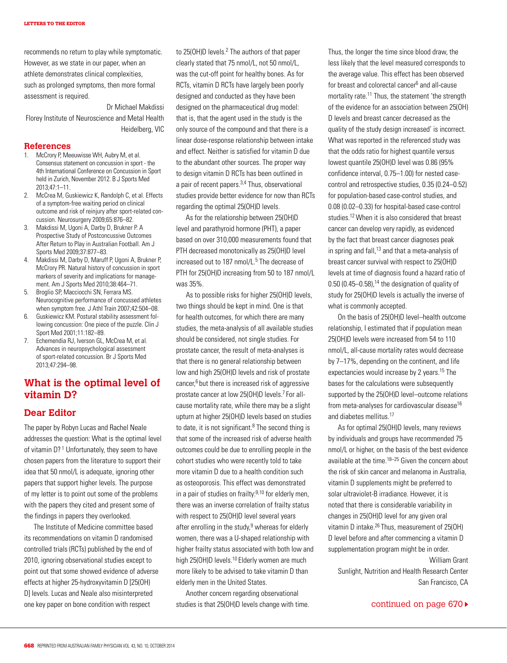recommends no return to play while symptomatic. However, as we state in our paper, when an athlete demonstrates clinical complexities, such as prolonged symptoms, then more formal assessment is required.

Dr Michael Makdissi Florey Institute of Neuroscience and Metal Health Heidelberg, VIC

#### **References**

- 1. McCrory P, Meeuwisse WH, Aubry M, et al. Consensus statement on concussion in sport - the 4th International Conference on Concussion in Sport held in Zurich, November 2012. B J Sports Med 2013;47:1–11.
- 2. McCrea M, Guskiewicz K, Randolph C, et al. Effects of a symptom-free waiting period on clinical outcome and risk of reinjury after sport-related concussion. Neurosurgery 2009;65:876–82.
- 3. Makdissi M, Ugoni A, Darby D, Brukner P. A Prospective Study of Postconcussive Outcomes After Return to Play in Australian Football. Am J Sports Med 2009;37:877–83.
- 4. Makdissi M, Darby D, Maruff P, Ugoni A, Brukner P, McCrory PR. Natural history of concussion in sport markers of severity and implications for management. Am J Sports Med 2010;38:464–71.
- 5. Broglio SP, Macciocchi SN, Ferrara MS. Neurocognitive performance of concussed athletes when symptom free. J Athl Train 2007;42:504–08.
- 6. Guskiewicz KM. Postural stability assessment following concussion: One piece of the puzzle. Clin J Sport Med 2001;11:182–89.
- 7. Echemendia RJ, Iverson GL, McCrea M, et al. Advances in neuropsychological assessment of sport-related concussion. Br J Sports Med 2013;47:294–98.

# **What is the optimal level of vitamin D?**

### **Dear Editor**

The paper by Robyn Lucas and Rachel Neale addresses the question: What is the optimal level of vitamin D?<sup>1</sup> Unfortunately, they seem to have chosen papers from the literature to support their idea that 50 nmol/L is adequate, ignoring other papers that support higher levels. The purpose of my letter is to point out some of the problems with the papers they cited and present some of the findings in papers they overlooked.

The Institute of Medicine committee based its recommendations on vitamin D randomised controlled trials (RCTs) published by the end of 2010, ignoring observational studies except to point out that some showed evidence of adverse effects at higher 25-hydroxyvitamin D [25(OH) D] levels. Lucas and Neale also misinterpreted one key paper on bone condition with respect

to 25(OH)D levels.<sup>2</sup> The authors of that paper clearly stated that 75 nmol/L, not 50 nmol/L, was the cut-off point for healthy bones. As for RCTs, vitamin D RCTs have largely been poorly designed and conducted as they have been designed on the pharmaceutical drug model: that is, that the agent used in the study is the only source of the compound and that there is a linear dose-response relationship between intake and effect. Neither is satisfied for vitamin D due to the abundant other sources. The proper way to design vitamin D RCTs has been outlined in a pair of recent papers.3,4 Thus, observational studies provide better evidence for now than RCTs regarding the optimal 25(OH)D levels.

As for the relationship between 25(OH)D level and parathyroid hormone (PHT), a paper based on over 310,000 measurements found that PTH decreased monotonically as 25(OH)D level increased out to 187 nmol/L.<sup>5</sup> The decrease of PTH for 25(OH)D increasing from 50 to 187 nmol/L was 35%.

As to possible risks for higher 25(OH)D levels, two things should be kept in mind. One is that for health outcomes, for which there are many studies, the meta-analysis of all available studies should be considered, not single studies. For prostate cancer, the result of meta-analyses is that there is no general relationship between low and high 25(OH)D levels and risk of prostate cancer, $6$  but there is increased risk of aggressive prostate cancer at low 25(OH)D levels.7 For allcause mortality rate, while there may be a slight upturn at higher 25(OH)D levels based on studies to date, it is not significant. $8$  The second thing is that some of the increased risk of adverse health outcomes could be due to enrolling people in the cohort studies who were recently told to take more vitamin D due to a health condition such as osteoporosis. This effect was demonstrated in a pair of studies on frailty: $9,10$  for elderly men, there was an inverse correlation of frailty status with respect to 25(OH)D level several years after enrolling in the study, $9$  whereas for elderly women, there was a U-shaped relationship with higher frailty status associated with both low and high 25(OH)D levels.<sup>10</sup> Elderly women are much more likely to be advised to take vitamin D than elderly men in the United States.

Another concern regarding observational studies is that 25(OH)D levels change with time. Thus, the longer the time since blood draw, the less likely that the level measured corresponds to the average value. This effect has been observed for breast and colorectal cancer<sup>6</sup> and all-cause mortality rate.<sup>11</sup> Thus, the statement 'the strength of the evidence for an association between 25(OH) D levels and breast cancer decreased as the quality of the study design increased' is incorrect. What was reported in the referenced study was that the odds ratio for highest quantile versus lowest quantile 25(OH)D level was 0.86 (95% confidence interval, 0.75–1.00) for nested casecontrol and retrospective studies, 0.35 (0.24–0.52) for population-based case-control studies, and 0.08 (0.02–0.33) for hospital-based case-control studies.12 When it is also considered that breast cancer can develop very rapidly, as evidenced by the fact that breast cancer diagnoses peak in spring and fall, $13$  and that a meta-analysis of breast cancer survival with respect to 25(OH)D levels at time of diagnosis found a hazard ratio of 0.50 (0.45–0.58), $14$  the designation of quality of study for 25(OH)D levels is actually the inverse of what is commonly accepted.

On the basis of 25(OH)D level–health outcome relationship, I estimated that if population mean 25(OH)D levels were increased from 54 to 110 nmol/L, all-cause mortality rates would decrease by 7–17%, depending on the continent, and life expectancies would increase by 2 years.15 The bases for the calculations were subsequently supported by the 25(OH)D level–outcome relations from meta-analyses for cardiovascular disease<sup>16</sup> and diabetes mellitus.<sup>17</sup>

As for optimal 25(OH)D levels, many reviews by individuals and groups have recommended 75 nmol/L or higher, on the basis of the best evidence available at the time.<sup>18–25</sup> Given the concern about the risk of skin cancer and melanoma in Australia, vitamin D supplements might be preferred to solar ultraviolet-B irradiance. However, it is noted that there is considerable variability in changes in 25(OH)D level for any given oral vitamin D intake.26 Thus, measurement of 25(OH) D level before and after commencing a vitamin D supplementation program might be in order.

William Grant Sunlight, Nutrition and Health Research Center San Francisco, CA

#### continued on page 670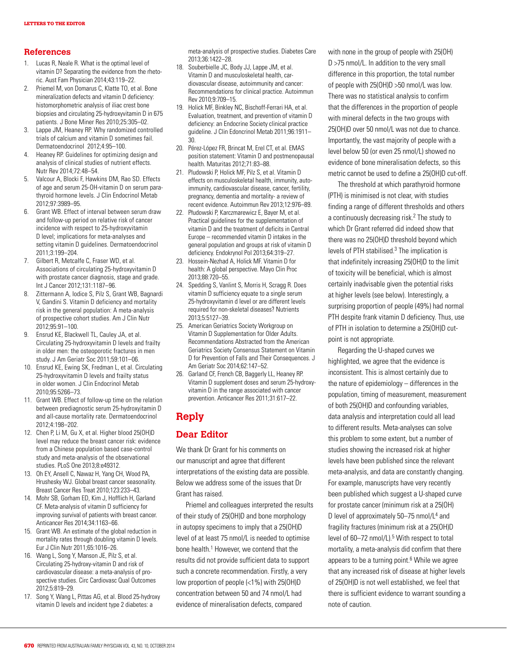#### **References**

- 1. Lucas R, Neale R. What is the optimal level of vitamin D? Separating the evidence from the rhetoric. Aust Fam Physician 2014;43:119–22.
- 2. Priemel M, von Domarus C, Klatte TO, et al. Bone mineralization defects and vitamin D deficiency: histomorphometric analysis of iliac crest bone biopsies and circulating 25-hydroxyvitamin D in 675 patients. J Bone Miner Res 2010;25:305–02.
- 3. Lappe JM, Heaney RP. Why randomized controlled trials of calcium and vitamin D sometimes fail. Dermatoendocrinol 2012;4:95–100.
- 4. Heaney RP. Guidelines for optimizing design and analysis of clinical studies of nutrient effects. Nutr Rev 2014;72:48–54.
- 5. Valcour A, Blocki F, Hawkins DM, Rao SD. Effects of age and serum 25-OH-vitamin D on serum parathyroid hormone levels. J Clin Endocrinol Metab 2012;97:3989–95.
- 6. Grant WB. Effect of interval between serum draw and follow-up period on relative risk of cancer incidence with respect to 25-hydroxyvitamin D level; implications for meta-analyses and setting vitamin D guidelines. Dermatoendocrinol 2011;3:199–204.
- 7. Gilbert R, Metcalfe C, Fraser WD, et al. Associations of circulating 25-hydroxyvitamin D with prostate cancer diagnosis, stage and grade. Int J Cancer 2012;131:1187–96.
- 8. Zittermann A, Iodice S, Pilz S, Grant WB, Bagnardi V, Gandini S. Vitamin D deficiency and mortality risk in the general population: A meta-analysis of prospective cohort studies. Am J Clin Nutr 2012;95:91–100.
- 9. Ensrud KE, Blackwell TL, Cauley JA, et al. Circulating 25-hydroxyvitamin D levels and frailty in older men: the osteoporotic fractures in men study. J Am Geriatr Soc 2011;59:101–06.
- 10. Ensrud KE, Ewing SK, Fredman L, et al. Circulating 25-hydroxyvitamin D levels and frailty status in older women. J Clin Endocrinol Metab 2010;95:5266–73.
- 11. Grant WB. Effect of follow-up time on the relation between prediagnostic serum 25-hydroxyitamin D and all-cause mortality rate. Dermatoendocrinol 2012;4:198–202.
- 12. Chen P, Li M, Gu X, et al. Higher blood 25(OH)D level may reduce the breast cancer risk: evidence from a Chinese population based case-control study and meta-analysis of the observational studies. PLoS One 2013;8:e49312.
- 13. Oh EY, Ansell C, Nawaz H, Yang CH, Wood PA, Hrushesky WJ. Global breast cancer seasonality. Breast Cancer Res Treat 2010;123:233–43.
- 14. Mohr SB, Gorham ED, Kim J, Hofflich H, Garland CF. Meta-analysis of vitamin D sufficiency for improving survival of patients with breast cancer. Anticancer Res 2014;34:1163–66.
- 15. Grant WB. An estimate of the global reduction in mortality rates through doubling vitamin D levels. Eur J Clin Nutr 2011;65:1016–26.
- 16. Wang L, Song Y, Manson JE, Pilz S, et al. Circulating 25-hydroxy-vitamin D and risk of cardiovascular disease: a meta-analysis of prospective studies. Circ Cardiovasc Qual Outcomes 2012;5:819–29.
- 17. Song Y, Wang L, Pittas AG, et al. Blood 25-hydroxy vitamin D levels and incident type 2 diabetes: a

meta-analysis of prospective studies. Diabetes Care 2013;36:1422–28.

- 18. Souberbielle JC, Body JJ, Lappe JM, et al. Vitamin D and musculoskeletal health, cardiovascular disease, autoimmunity and cancer: Recommendations for clinical practice. Autoimmun Rev 2010;9:709–15.
- 19. Holick MF, Binkley NC, Bischoff-Ferrari HA, et al. Evaluation, treatment, and prevention of vitamin D deficiency: an Endocrine Society clinical practice guideline. J Clin Edoncrinol Metab 2011;96:1911– 30.
- 20. Pérez-López FR, Brincat M, Erel CT, et al. EMAS position statement: Vitamin D and postmenopausal health. Maturitas 2012;71:83–88.
- 21. Pludowski P, Holick MF, Pilz S, et al. Vitamin D effects on musculoskeletal health, immunity, autoimmunity, cardiovascular disease, cancer, fertility, pregnancy, dementia and mortality- a review of recent evidence. Autoimmun Rev 2013;12:976–89.
- 22. Płudowski P, Karczmarewicz E, Bayer M, et al. Practical guidelines for the supplementation of vitamin D and the treatment of deficits in Central Europe – recommended vitamin D intakes in the general population and groups at risk of vitamin D deficiency. Endokrynol Pol 2013;64:319–27.
- 23. Hossein-Nezhad A, Holick MF. Vitamin D for health: A global perspective. Mayo Clin Proc 2013;88:720–55.
- 24. Spedding S, Vanlint S, Morris H, Scragg R. Does vitamin D sufficiency equate to a single serum 25-hydroxyvitamin d level or are different levels required for non-skeletal diseases? Nutrients 2013;5:5127–39.
- 25. American Geriatrics Society Workgroup on Vitamin D Supplementation for Older Adults. Recommendations Abstracted from the American Geriatrics Society Consensus Statement on Vitamin D for Prevention of Falls and Their Consequences. J Am Geriatr Soc 2014;62:147–52.
- 26. Garland CF, French CB, Baggerly LL, Heaney RP. Vitamin D supplement doses and serum 25-hydroxyvitamin D in the range associated with cancer prevention. Anticancer Res 2011;31:617–22.

# **Reply**

## **Dear Editor**

We thank Dr Grant for his comments on our manuscript and agree that different interpretations of the existing data are possible. Below we address some of the issues that Dr Grant has raised.

Priemel and colleagues interpreted the results of their study of 25(OH)D and bone morphology in autopsy specimens to imply that a 25(OH)D level of at least 75 nmol/L is needed to optimise bone health.<sup>1</sup> However, we contend that the results did not provide sufficient data to support such a concrete recommendation. Firstly, a very low proportion of people (<1%) with 25(OH)D concentration between 50 and 74 nmol/L had evidence of mineralisation defects, compared

with none in the group of people with 25(OH) D >75 nmol/L. In addition to the very small difference in this proportion, the total number of people with 25(OH)D >50 nmol/L was low. There was no statistical analysis to confirm that the differences in the proportion of people with mineral defects in the two groups with 25(OH)D over 50 nmol/L was not due to chance. Importantly, the vast majority of people with a level below 50 (or even 25 nmol/L) showed no evidence of bone mineralisation defects, so this metric cannot be used to define a 25(OH)D cut-off.

The threshold at which parathyroid hormone (PTH) is minimised is not clear, with studies finding a range of different thresholds and others a continuously decreasing risk.<sup>2</sup> The study to which Dr Grant referred did indeed show that there was no 25(OH)D threshold beyond which levels of PTH stabilised.<sup>3</sup> The implication is that indefinitely increasing 25(OH)D to the limit of toxicity will be beneficial, which is almost certainly inadvisable given the potential risks at higher levels (see below). Interestingly, a surprising proportion of people (49%) had normal PTH despite frank vitamin D deficiency. Thus, use of PTH in isolation to determine a 25(OH)D cutpoint is not appropriate.

Regarding the U-shaped curves we highlighted, we agree that the evidence is inconsistent. This is almost certainly due to the nature of epidemiology – differences in the population, timing of measurement, measurement of both 25(OH)D and confounding variables, data analysis and interpretation could all lead to different results. Meta-analyses can solve this problem to some extent, but a number of studies showing the increased risk at higher levels have been published since the relevant meta-analysis, and data are constantly changing. For example, manuscripts have very recently been published which suggest a U-shaped curve for prostate cancer (minimum risk at a 25(OH) D level of approximately 50-75 nmol/L<sup>4</sup> and fragility fractures (minimum risk at a 25(OH)D level of 60-72 nmol/L).<sup>5</sup> With respect to total mortality, a meta-analysis did confirm that there appears to be a turning point. $6$  While we agree that any increased risk of disease at higher levels of 25(OH)D is not well established, we feel that there is sufficient evidence to warrant sounding a note of caution.